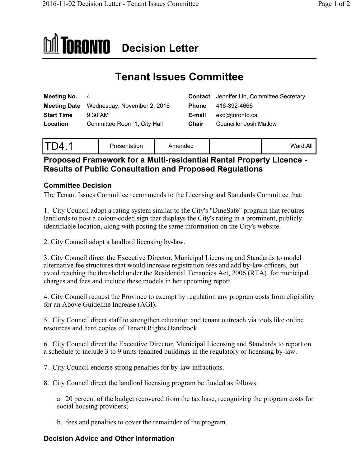# **DI** TORONTO Decision Letter

# **Tenant Issues Committee**

|                                                                                                              | <b>Contact</b> Jennifer Lin, Committee Secretary |
|--------------------------------------------------------------------------------------------------------------|--------------------------------------------------|
| Phone                                                                                                        | 416-392-4666                                     |
| E-mail                                                                                                       | exc@toronto.ca                                   |
| Chair                                                                                                        | Councillor Josh Matlow                           |
| Meeting No. 4<br><b>Meeting Date</b> Wednesday, November 2, 2016<br>$9:30$ AM<br>Committee Room 1, City Hall |                                                  |

| _<br>$\sqrt{ }$<br>ız | Presentation | Amended |  | Ward:All |
|-----------------------|--------------|---------|--|----------|
|-----------------------|--------------|---------|--|----------|

# **Proposed Framework for a Multi-residential Rental Property Licence - Results of Public Consultation and Proposed Regulations**

# **Committee Decision**

The Tenant Issues Committee recommends to the Licensing and Standards Committee that:

1. City Council adopt a rating system similar to the City's "DineSafe" program that requires landlords to post a colour-coded sign that displays the City's rating in a prominent, publicly identifiable location, along with posting the same information on the City's website.

2. City Council adopt a landlord licensing by-law.

3. City Council direct the Executive Director, Municipal Licensing and Standards to model alternative fee structures that would increase registration fees and add by-law officers, but avoid reaching the threshold under the Residential Tenancies Act, 2006 (RTA), for municipal charges and fees and include these models in her upcoming report.

4. City Council request the Province to exempt by regulation any program costs from eligibility for an Above Guideline Increase (AGI).

5. City Council direct staff to strengthen education and tenant outreach via tools like online resources and hard copies of Tenant Rights Handbook.

6. City Council direct the Executive Director, Municipal Licensing and Standards to report on a schedule to include 3 to 9 units tenanted buildings in the regulatory or licensing by-law.

7. City Council endorse strong penalties for by-law infractions.

8. City Council direct the landlord licensing program be funded as follows:

a. 20 percent of the budget recovered from the tax base, recognizing the program costs for social housing providers;

b. fees and penalties to cover the remainder of the program.

# **Decision Advice and Other Information**